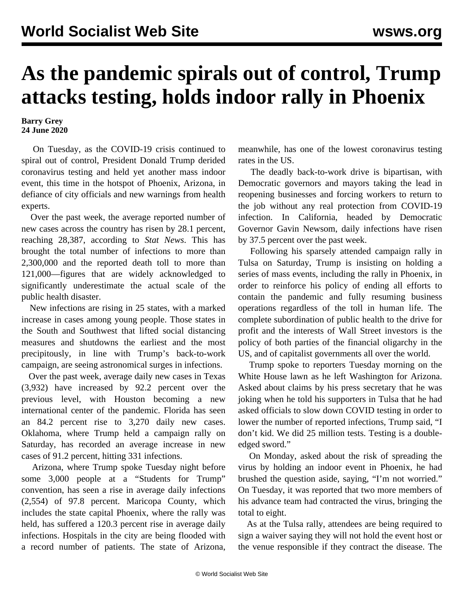## **As the pandemic spirals out of control, Trump attacks testing, holds indoor rally in Phoenix**

## **Barry Grey 24 June 2020**

 On Tuesday, as the COVID-19 crisis continued to spiral out of control, President Donald Trump derided coronavirus testing and held yet another mass indoor event, this time in the hotspot of Phoenix, Arizona, in defiance of city officials and new warnings from health experts.

 Over the past week, the average reported number of new cases across the country has risen by 28.1 percent, reaching 28,387, according to *Stat News*. This has brought the total number of infections to more than 2,300,000 and the reported death toll to more than 121,000—figures that are widely acknowledged to significantly underestimate the actual scale of the public health disaster.

 New infections are rising in 25 states, with a marked increase in cases among young people. Those states in the South and Southwest that lifted social distancing measures and shutdowns the earliest and the most precipitously, in line with Trump's back-to-work campaign, are seeing astronomical surges in infections.

 Over the past week, average daily new cases in Texas (3,932) have increased by 92.2 percent over the previous level, with Houston becoming a new international center of the pandemic. Florida has seen an 84.2 percent rise to 3,270 daily new cases. Oklahoma, where Trump held a campaign rally on Saturday, has recorded an average increase in new cases of 91.2 percent, hitting 331 infections.

 Arizona, where Trump spoke Tuesday night before some 3,000 people at a "Students for Trump" convention, has seen a rise in average daily infections (2,554) of 97.8 percent. Maricopa County, which includes the state capital Phoenix, where the rally was held, has suffered a 120.3 percent rise in average daily infections. Hospitals in the city are being flooded with a record number of patients. The state of Arizona,

meanwhile, has one of the lowest coronavirus testing rates in the US.

 The deadly back-to-work drive is bipartisan, with Democratic governors and mayors taking the lead in reopening businesses and forcing workers to return to the job without any real protection from COVID-19 infection. In California, headed by Democratic Governor Gavin Newsom, daily infections have risen by 37.5 percent over the past week.

 Following his sparsely attended campaign rally in Tulsa on Saturday, Trump is insisting on holding a series of mass events, including the rally in Phoenix, in order to reinforce his policy of ending all efforts to contain the pandemic and fully resuming business operations regardless of the toll in human life. The complete subordination of public health to the drive for profit and the interests of Wall Street investors is the policy of both parties of the financial oligarchy in the US, and of capitalist governments all over the world.

 Trump spoke to reporters Tuesday morning on the White House lawn as he left Washington for Arizona. Asked about claims by his press secretary that he was joking when he told his supporters in Tulsa that he had asked officials to slow down COVID testing in order to lower the number of reported infections, Trump said, "I don't kid. We did 25 million tests. Testing is a doubleedged sword."

 On Monday, asked about the risk of spreading the virus by holding an indoor event in Phoenix, he had brushed the question aside, saying, "I'm not worried." On Tuesday, it was reported that two more members of his advance team had contracted the virus, bringing the total to eight.

 As at the Tulsa rally, attendees are being required to sign a waiver saying they will not hold the event host or the venue responsible if they contract the disease. The